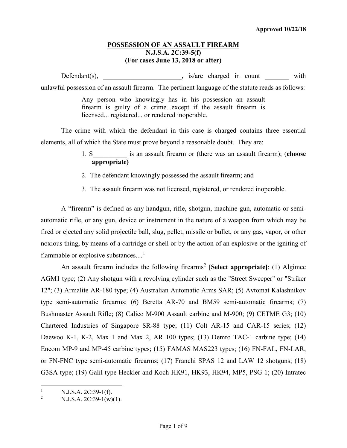## **POSSESSION OF AN ASSAULT FIREARM N.J.S.A. 2C:39-5(f) (For cases June 13, 2018 or after)**

Defendant(s),  $\qquad \qquad$   $\qquad$   $\qquad$   $\qquad$   $\qquad$   $\qquad$   $\qquad$   $\qquad$   $\qquad$   $\qquad$   $\qquad$   $\qquad$   $\qquad$   $\qquad$   $\qquad$   $\qquad$   $\qquad$   $\qquad$   $\qquad$   $\qquad$   $\qquad$   $\qquad$   $\qquad$   $\qquad$   $\qquad$   $\qquad$   $\qquad$   $\qquad$   $\qquad$   $\qquad$   $\qquad$   $\qquad$   $\qquad$   $\qquad$  unlawful possession of an assault firearm. The pertinent language of the statute reads as follows:

> Any person who knowingly has in his possession an assault firearm is guilty of a crime...except if the assault firearm is licensed... registered... or rendered inoperable.

The crime with which the defendant in this case is charged contains three essential elements, all of which the State must prove beyond a reasonable doubt. They are:

- 1. S\_\_\_\_\_\_\_\_\_\_ is an assault firearm or (there was an assault firearm); (**choose appropriate)**
- 2. The defendant knowingly possessed the assault firearm; and
- 3. The assault firearm was not licensed, registered, or rendered inoperable.

A "firearm" is defined as any handgun, rifle, shotgun, machine gun, automatic or semiautomatic rifle, or any gun, device or instrument in the nature of a weapon from which may be fired or ejected any solid projectile ball, slug, pellet, missile or bullet, or any gas, vapor, or other noxious thing, by means of a cartridge or shell or by the action of an explosive or the igniting of flammable or explosive substances....<sup>[1](#page-0-0)</sup>

An assault firearm includes the following firearms<sup>[2](#page-0-1)</sup> [Select appropriate]: (1) Algimec AGM1 type; (2) Any shotgun with a revolving cylinder such as the "Street Sweeper" or "Striker 12"; (3) Armalite AR-180 type; (4) Australian Automatic Arms SAR; (5) Avtomat Kalashnikov type semi-automatic firearms; (6) Beretta AR-70 and BM59 semi-automatic firearms; (7) Bushmaster Assault Rifle; (8) Calico M-900 Assault carbine and M-900; (9) CETME G3; (10) Chartered Industries of Singapore SR-88 type; (11) Colt AR-15 and CAR-15 series; (12) Daewoo K-1, K-2, Max 1 and Max 2, AR 100 types; (13) Demro TAC-1 carbine type; (14) Encom MP-9 and MP-45 carbine types; (15) FAMAS MAS223 types; (16) FN-FAL, FN-LAR, or FN-FNC type semi-automatic firearms; (17) Franchi SPAS 12 and LAW 12 shotguns; (18) G3SA type; (19) Galil type Heckler and Koch HK91, HK93, HK94, MP5, PSG-1; (20) Intratec

<span id="page-0-0"></span><sup>&</sup>lt;sup>1</sup> N.J.S.A. 2C:39-1(f).<br><sup>2</sup> N.J.S.A. 2C:39-1(w)

<span id="page-0-1"></span> $N.J.S.A. 2C:39-1(w)(1).$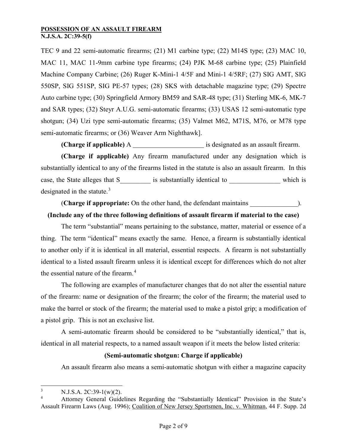TEC 9 and 22 semi-automatic firearms; (21) M1 carbine type; (22) M14S type; (23) MAC 10, MAC 11, MAC 11-9mm carbine type firearms; (24) PJK M-68 carbine type; (25) Plainfield Machine Company Carbine; (26) Ruger K-Mini-1 4/5F and Mini-1 4/5RF; (27) SIG AMT, SIG 550SP, SIG 551SP, SIG PE-57 types; (28) SKS with detachable magazine type; (29) Spectre Auto carbine type; (30) Springfield Armory BM59 and SAR-48 type; (31) Sterling MK-6, MK-7 and SAR types; (32) Steyr A.U.G. semi-automatic firearms; (33) USAS 12 semi-automatic type shotgun; (34) Uzi type semi-automatic firearms; (35) Valmet M62, M71S, M76, or M78 type semi-automatic firearms; or (36) Weaver Arm Nighthawk].

**(Charge if applicable)** A **interest is designated as an assault firearm.** 

**(Charge if applicable)** Any firearm manufactured under any designation which is substantially identical to any of the firearms listed in the statute is also an assault firearm. In this case, the State alleges that S\_\_\_\_\_\_\_\_\_ is substantially identical to \_\_\_\_\_\_\_\_\_\_\_\_\_\_\_ which is designated in the statute.<sup>[3](#page-1-0)</sup>

(**Charge if appropriate:** On the other hand, the defendant maintains \_\_\_\_\_\_\_\_\_\_\_\_\_\_).

# **(Include any of the three following definitions of assault firearm if material to the case)**

The term "substantial" means pertaining to the substance, matter, material or essence of a thing. The term "identical" means exactly the same. Hence, a firearm is substantially identical to another only if it is identical in all material, essential respects. A firearm is not substantially identical to a listed assault firearm unless it is identical except for differences which do not alter the essential nature of the firearm.[4](#page-1-1)

The following are examples of manufacturer changes that do not alter the essential nature of the firearm: name or designation of the firearm; the color of the firearm; the material used to make the barrel or stock of the firearm; the material used to make a pistol grip; a modification of a pistol grip. This is not an exclusive list.

A semi-automatic firearm should be considered to be "substantially identical," that is, identical in all material respects, to a named assault weapon if it meets the below listed criteria:

## **(Semi-automatic shotgun: Charge if applicable)**

An assault firearm also means a semi-automatic shotgun with either a magazine capacity

<span id="page-1-0"></span> $\frac{3}{4}$  N.J.S.A. 2C:39-1(w)(2).

<span id="page-1-1"></span><sup>4</sup> Attorney General Guidelines Regarding the "Substantially Identical" Provision in the State's Assault Firearm Laws (Aug. 1996); Coalition of New Jersey Sportsmen, Inc. v. Whitman, 44 F. Supp. 2d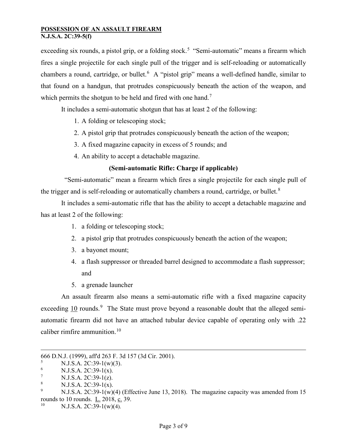exceeding six rounds, a pistol grip, or a folding stock.<sup>[5](#page-2-0)</sup> "Semi-automatic" means a firearm which fires a single projectile for each single pull of the trigger and is self-reloading or automatically chambers a round, cartridge, or bullet.<sup>[6](#page-2-1)</sup> A "pistol grip" means a well-defined handle, similar to that found on a handgun, that protrudes conspicuously beneath the action of the weapon, and which permits the shotgun to be held and fired with one hand.<sup>[7](#page-2-2)</sup>

It includes a semi-automatic shotgun that has at least 2 of the following:

- 1. A folding or telescoping stock;
- 2. A pistol grip that protrudes conspicuously beneath the action of the weapon;
- 3. A fixed magazine capacity in excess of 5 rounds; and
- 4. An ability to accept a detachable magazine.

## **(Semi-automatic Rifle: Charge if applicable)**

"Semi-automatic" mean a firearm which fires a single projectile for each single pull of the trigger and is self-reloading or automatically chambers a round, cartridge, or bullet.<sup>[8](#page-2-3)</sup>

It includes a semi-automatic rifle that has the ability to accept a detachable magazine and has at least 2 of the following:

- 1. a folding or telescoping stock;
- 2. a pistol grip that protrudes conspicuously beneath the action of the weapon;
- 3. a bayonet mount;
- 4. a flash suppressor or threaded barrel designed to accommodate a flash suppressor; and
- 5. a grenade launcher

An assault firearm also means a semi-automatic rifle with a fixed magazine capacity exceeding  $\overline{10}$  rounds.<sup>[9](#page-2-4)</sup> The State must prove beyond a reasonable doubt that the alleged semiautomatic firearm did not have an attached tubular device capable of operating only with .22 caliber rimfire ammunition.<sup>[10](#page-2-5)</sup>

 $\overline{a}$ 

<sup>666</sup> D.N.J. (1999), aff'd 263 F. 3d 157 (3d Cir. 2001).

<span id="page-2-0"></span> $\frac{5}{6}$  N.J.S.A. 2C:39-1(w)(3).

<span id="page-2-1"></span> $\frac{6}{7}$  N.J.S.A. 2C:39-1(x).

<span id="page-2-2"></span><sup>&</sup>lt;sup>7</sup> N.J.S.A. 2C:39-1(z).

<span id="page-2-3"></span><sup>&</sup>lt;sup>8</sup> N.J.S.A. 2C:39-1(x).

<span id="page-2-4"></span>N.J.S.A. 2C:39-1(w)(4) (Effective June 13, 2018). The magazine capacity was amended from 15 rounds to 10 rounds. L. 2018, c. 39.

<span id="page-2-5"></span> $N.J.S.A. 2C:39-1(w)(4).$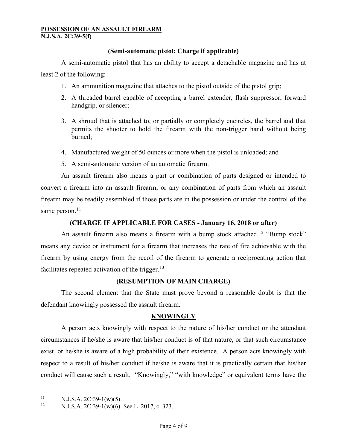## **(Semi-automatic pistol: Charge if applicable)**

A semi-automatic pistol that has an ability to accept a detachable magazine and has at

least 2 of the following:

- 1. An ammunition magazine that attaches to the pistol outside of the pistol grip;
- 2. A threaded barrel capable of accepting a barrel extender, flash suppressor, forward handgrip, or silencer;
- 3. A shroud that is attached to, or partially or completely encircles, the barrel and that permits the shooter to hold the firearm with the non-trigger hand without being burned;
- 4. Manufactured weight of 50 ounces or more when the pistol is unloaded; and
- 5. A semi-automatic version of an automatic firearm.

An assault firearm also means a part or combination of parts designed or intended to convert a firearm into an assault firearm, or any combination of parts from which an assault firearm may be readily assembled if those parts are in the possession or under the control of the same person.<sup>[11](#page-3-0)</sup>

# **(CHARGE IF APPLICABLE FOR CASES - January 16, 2018 or after)**

An assault firearm also means a firearm with a bump stock attached.<sup>[12](#page-3-1)</sup> "Bump stock" means any device or instrument for a firearm that increases the rate of fire achievable with the firearm by using energy from the recoil of the firearm to generate a reciprocating action that facilitates repeated activation of the trigger. $^{13}$  $^{13}$  $^{13}$ 

## **(RESUMPTION OF MAIN CHARGE)**

The second element that the State must prove beyond a reasonable doubt is that the defendant knowingly possessed the assault firearm.

# **KNOWINGLY**

<span id="page-3-2"></span>A person acts knowingly with respect to the nature of his/her conduct or the attendant circumstances if he/she is aware that his/her conduct is of that nature, or that such circumstance exist, or he/she is aware of a high probability of their existence. A person acts knowingly with respect to a result of his/her conduct if he/she is aware that it is practically certain that his/her conduct will cause such a result. "Knowingly," "with knowledge" or equivalent terms have the

<span id="page-3-0"></span><sup>&</sup>lt;sup>11</sup> N.J.S.A. 2C:39-1(w)(5).<br><sup>12</sup> N.J.S.A. 2C:30 1(w)(6)

<span id="page-3-1"></span>N.J.S.A. 2C:39-1(w)(6). See L. 2017, c. 323.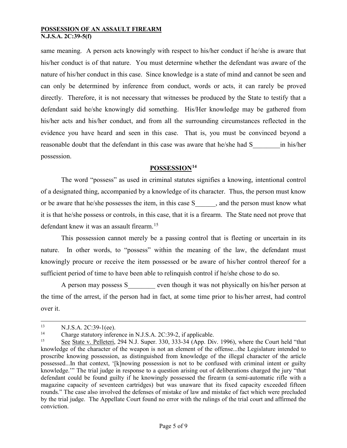same meaning. A person acts knowingly with respect to his/her conduct if he/she is aware that his/her conduct is of that nature. You must determine whether the defendant was aware of the nature of his/her conduct in this case. Since knowledge is a state of mind and cannot be seen and can only be determined by inference from conduct, words or acts, it can rarely be proved directly. Therefore, it is not necessary that witnesses be produced by the State to testify that a defendant said he/she knowingly did something. His/Her knowledge may be gathered from his/her acts and his/her conduct, and from all the surrounding circumstances reflected in the evidence you have heard and seen in this case. That is, you must be convinced beyond a reasonable doubt that the defendant in this case was aware that he/she had S \_\_\_\_\_\_\_\_\_\_\_\_\_\_\_\_\_\_\_\_\_\_\_ possession.

## **POSSESSION[14](#page-4-0)**

The word "possess" as used in criminal statutes signifies a knowing, intentional control of a designated thing, accompanied by a knowledge of its character. Thus, the person must know or be aware that he/she possesses the item, in this case S and the person must know what it is that he/she possess or controls, in this case, that it is a firearm. The State need not prove that defendant knew it was an assault firearm.<sup>[15](#page-4-1)</sup>

This possession cannot merely be a passing control that is fleeting or uncertain in its nature. In other words, to "possess" within the meaning of the law, the defendant must knowingly procure or receive the item possessed or be aware of his/her control thereof for a sufficient period of time to have been able to relinquish control if he/she chose to do so.

A person may possess S even though it was not physically on his/her person at the time of the arrest, if the person had in fact, at some time prior to his/her arrest, had control over it.

 $13$  N.J.S.A. 2C:39-1(ee).

<span id="page-4-0"></span><sup>&</sup>lt;sup>14</sup> Charge statutory inference in N.J.S.A. 2C:39-2, if applicable.<br>
See State v. Pelleteri 294 N.J. Super 330, 333-34 (App. Div.

<span id="page-4-1"></span>See State v. Pelleteri, 294 N.J. Super. 330, 333-34 (App. Div. 1996), where the Court held "that knowledge of the character of the weapon is not an element of the offense...the Legislature intended to proscribe knowing possession, as distinguished from knowledge of the illegal character of the article possessed...In that context, '[k]nowing possession is not to be confused with criminal intent or guilty knowledge.'" The trial judge in response to a question arising out of deliberations charged the jury "that defendant could be found guilty if he knowingly possessed the firearm (a semi-automatic rifle with a magazine capacity of seventeen cartridges) but was unaware that its fixed capacity exceeded fifteen rounds." The case also involved the defenses of mistake of law and mistake of fact which were precluded by the trial judge. The Appellate Court found no error with the rulings of the trial court and affirmed the conviction.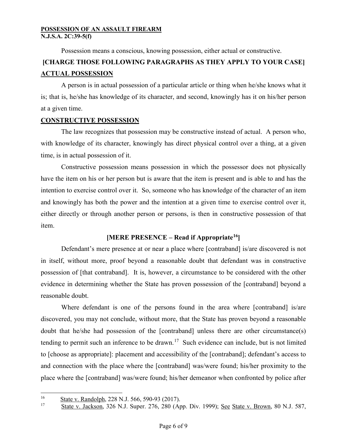Possession means a conscious, knowing possession, either actual or constructive.

# **[CHARGE THOSE FOLLOWING PARAGRAPHS AS THEY APPLY TO YOUR CASE] ACTUAL POSSESSION**

A person is in actual possession of a particular article or thing when he/she knows what it is; that is, he/she has knowledge of its character, and second, knowingly has it on his/her person at a given time.

## **CONSTRUCTIVE POSSESSION**

The law recognizes that possession may be constructive instead of actual. A person who, with knowledge of its character, knowingly has direct physical control over a thing, at a given time, is in actual possession of it.

Constructive possession means possession in which the possessor does not physically have the item on his or her person but is aware that the item is present and is able to and has the intention to exercise control over it. So, someone who has knowledge of the character of an item and knowingly has both the power and the intention at a given time to exercise control over it, either directly or through another person or persons, is then in constructive possession of that item.

# **[MERE PRESENCE – Read if Appropriate[16\]](#page-5-0)**

Defendant's mere presence at or near a place where [contraband] is/are discovered is not in itself, without more, proof beyond a reasonable doubt that defendant was in constructive possession of [that contraband]. It is, however, a circumstance to be considered with the other evidence in determining whether the State has proven possession of the [contraband] beyond a reasonable doubt.

Where defendant is one of the persons found in the area where [contraband] is/are discovered, you may not conclude, without more, that the State has proven beyond a reasonable doubt that he/she had possession of the [contraband] unless there are other circumstance(s) tending to permit such an inference to be drawn.<sup>17</sup> Such evidence can include, but is not limited to [choose as appropriate]: placement and accessibility of the [contraband]; defendant's access to and connection with the place where the [contraband] was/were found; his/her proximity to the place where the [contraband] was/were found; his/her demeanor when confronted by police after

<span id="page-5-1"></span><span id="page-5-0"></span> $\frac{16}{17}$  State v. Randolph, 228 N.J. 566, 590-93 (2017).

State v. Jackson, 326 N.J. Super. 276, 280 (App. Div. 1999); See State v. Brown, 80 N.J. 587,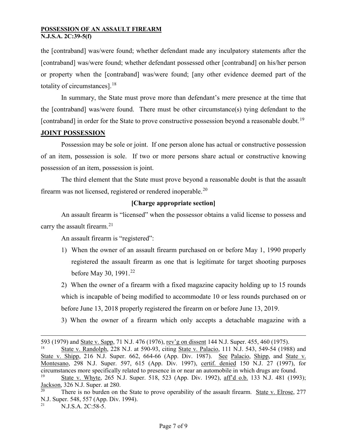the [contraband] was/were found; whether defendant made any inculpatory statements after the [contraband] was/were found; whether defendant possessed other [contraband] on his/her person or property when the [contraband] was/were found; [any other evidence deemed part of the totality of circumstances].<sup>[18](#page-6-0)</sup>

In summary, the State must prove more than defendant's mere presence at the time that the [contraband] was/were found. There must be other circumstance(s) tying defendant to the [contraband] in order for the State to prove constructive possession beyond a reasonable doubt.<sup>[19](#page-6-1)</sup>

### **JOINT POSSESSION**

Possession may be sole or joint. If one person alone has actual or constructive possession of an item, possession is sole. If two or more persons share actual or constructive knowing possession of an item, possession is joint.

The third element that the State must prove beyond a reasonable doubt is that the assault firearm was not licensed, registered or rendered inoperable.<sup>[20](#page-6-2)</sup>

### **[Charge appropriate section]**

An assault firearm is "licensed" when the possessor obtains a valid license to possess and carry the assault firearm.<sup>[21](#page-6-3)</sup>

An assault firearm is "registered":

1) When the owner of an assault firearm purchased on or before May 1, 1990 properly registered the assault firearm as one that is legitimate for target shooting purposes before May 30, 1991.<sup>[22](#page-6-4)</sup>

2) When the owner of a firearm with a fixed magazine capacity holding up to 15 rounds which is incapable of being modified to accommodate 10 or less rounds purchased on or before June 13, 2018 properly registered the firearm on or before June 13, 2019.

3) When the owner of a firearm which only accepts a detachable magazine with a

 $\overline{a}$ 

<span id="page-6-4"></span><span id="page-6-0"></span><sup>593 (1979)</sup> and <u>State v. Sapp, 71 N.J. 476 (1976), rev'g on dissent</u> 144 N.J. Super. 455, 460 (1975).<br><sup>18</sup> State v. Randolph, 228 N.J. at 590-93, citing State v. Palacio, 111 N.J. 543, 549-54 (1988) and State v. Shipp, 216 N.J. Super. 662, 664-66 (App. Div. 1987). See Palacio, Shipp, and State v. Montesano, 298 N.J. Super. 597, 615 (App. Div. 1997), certif. denied 150 N.J. 27 (1997), for circumstances more specifically related to presence in or near an automobile in which drugs are found.

<span id="page-6-1"></span>State v. Whyte, 265 N.J. Super. 518, 523 (App. Div. 1992), aff'd o.b. 133 N.J. 481 (1993); Jackson, 326 N.J. Super. at 280.

<span id="page-6-2"></span>There is no burden on the State to prove operability of the assault firearm. State v. Elrose, 277 N.J. Super. 548, 557 (App. Div. 1994).

<span id="page-6-3"></span>N.J.S.A. 2C:58-5.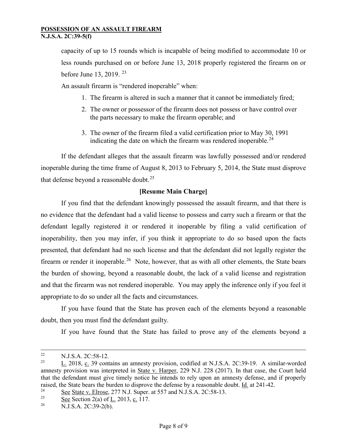capacity of up to 15 rounds which is incapable of being modified to accommodate 10 or less rounds purchased on or before June 13, 2018 properly registered the firearm on or before June 13, 2019.  $23$ 

An assault firearm is "rendered inoperable" when:

- 1. The firearm is altered in such a manner that it cannot be immediately fired;
- 2. The owner or possessor of the firearm does not possess or have control over the parts necessary to make the firearm operable; and
- 3. The owner of the firearm filed a valid certification prior to May 30, 1991 indicating the date on which the firearm was rendered inoperable.<sup>[24](#page-7-1)</sup>

If the defendant alleges that the assault firearm was lawfully possessed and/or rendered inoperable during the time frame of August 8, 2013 to February 5, 2014, the State must disprove that defense beyond a reasonable doubt.<sup>[25](#page-7-2)</sup>

### **[Resume Main Charge]**

If you find that the defendant knowingly possessed the assault firearm, and that there is no evidence that the defendant had a valid license to possess and carry such a firearm or that the defendant legally registered it or rendered it inoperable by filing a valid certification of inoperability, then you may infer, if you think it appropriate to do so based upon the facts presented, that defendant had no such license and that the defendant did not legally register the firearm or render it inoperable.<sup>[26](#page-7-3)</sup> Note, however, that as with all other elements, the State bears the burden of showing, beyond a reasonable doubt, the lack of a valid license and registration and that the firearm was not rendered inoperable. You may apply the inference only if you feel it appropriate to do so under all the facts and circumstances.

If you have found that the State has proven each of the elements beyond a reasonable doubt, then you must find the defendant guilty.

If you have found that the State has failed to prove any of the elements beyond a

<sup>&</sup>lt;sup>22</sup> N.J.S.A. 2C:58-12.<br><sup>23</sup>  $I = 2018$  a 20 some

<span id="page-7-0"></span>L. 2018, c. 39 contains an amnesty provision, codified at N.J.S.A. 2C:39-19. A similar-worded amnesty provision was interpreted in State v. Harper, 229 N.J. 228 (2017). In that case, the Court held that the defendant must give timely notice he intends to rely upon an amnesty defense, and if properly raised, the State bears the burden to disprove the defense by a reasonable doubt. <u>Id.</u> at 241-42.

<span id="page-7-1"></span><sup>&</sup>lt;sup>24</sup> See State v. Elrose, 277 N.J. Super. at 557 and N.J.S.A. 2C:58-13.<br>
See Section 2(a) of L 2013 a 117

<span id="page-7-3"></span><span id="page-7-2"></span><sup>&</sup>lt;sup>25</sup> See Section 2(a) of <u>L</u>. 2013, c. 117.

N.J.S.A. 2C:39-2(b).